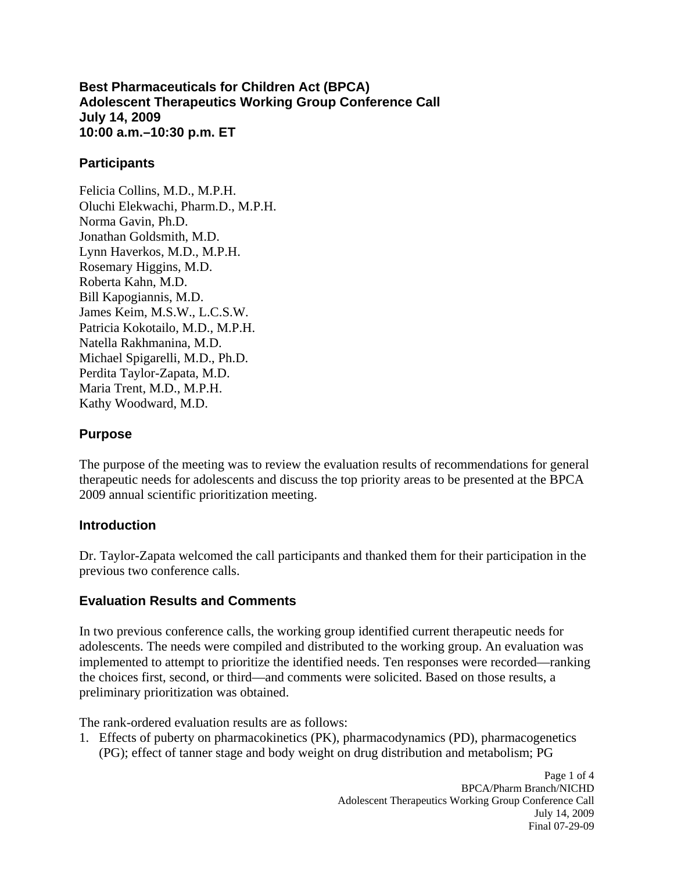**Best Pharmaceuticals for Children Act (BPCA) Adolescent Therapeutics Working Group Conference Call July 14, 2009 10:00 a.m.–10:30 p.m. ET** 

#### **Participants**

Felicia Collins, M.D., M.P.H. Oluchi Elekwachi, Pharm.D., M.P.H. Norma Gavin, Ph.D. Jonathan Goldsmith, M.D. Lynn Haverkos, M.D., M.P.H. Rosemary Higgins, M.D. Roberta Kahn, M.D. Bill Kapogiannis, M.D. James Keim, M.S.W., L.C.S.W. Patricia Kokotailo, M.D., M.P.H. Natella Rakhmanina, M.D. Michael Spigarelli, M.D., Ph.D. Perdita Taylor-Zapata, M.D. Maria Trent, M.D., M.P.H. Kathy Woodward, M.D.

#### **Purpose**

The purpose of the meeting was to review the evaluation results of recommendations for general therapeutic needs for adolescents and discuss the top priority areas to be presented at the BPCA 2009 annual scientific prioritization meeting.

## **Introduction**

Dr. Taylor-Zapata welcomed the call participants and thanked them for their participation in the previous two conference calls.

## **Evaluation Results and Comments**

In two previous conference calls, the working group identified current therapeutic needs for adolescents. The needs were compiled and distributed to the working group. An evaluation was implemented to attempt to prioritize the identified needs. Ten responses were recorded—ranking the choices first, second, or third—and comments were solicited. Based on those results, a preliminary prioritization was obtained.

The rank-ordered evaluation results are as follows:

1. Effects of puberty on pharmacokinetics (PK), pharmacodynamics (PD), pharmacogenetics (PG); effect of tanner stage and body weight on drug distribution and metabolism; PG

> Page 1 of 4 BPCA/Pharm Branch/NICHD Adolescent Therapeutics Working Group Conference Call July 14, 2009 Final 07-29-09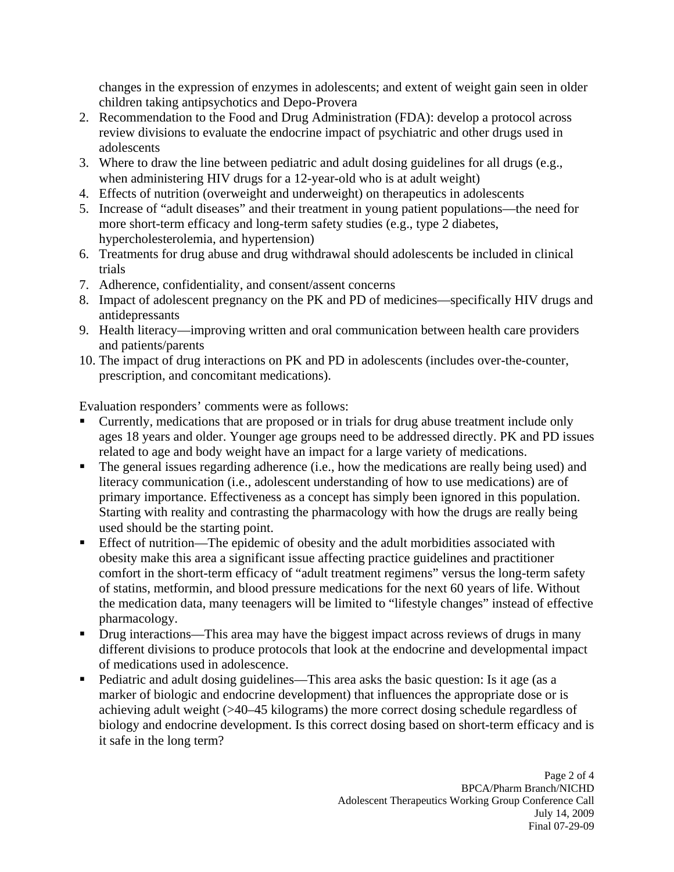changes in the expression of enzymes in adolescents; and extent of weight gain seen in older children taking antipsychotics and Depo-Provera

- 2. Recommendation to the Food and Drug Administration (FDA): develop a protocol across review divisions to evaluate the endocrine impact of psychiatric and other drugs used in adolescents
- 3. Where to draw the line between pediatric and adult dosing guidelines for all drugs (e.g., when administering HIV drugs for a 12-year-old who is at adult weight)
- 4. Effects of nutrition (overweight and underweight) on therapeutics in adolescents
- 5. Increase of "adult diseases" and their treatment in young patient populations—the need for more short-term efficacy and long-term safety studies (e.g., type 2 diabetes, hypercholesterolemia, and hypertension)
- 6. Treatments for drug abuse and drug withdrawal should adolescents be included in clinical trials
- 7. Adherence, confidentiality, and consent/assent concerns
- 8. Impact of adolescent pregnancy on the PK and PD of medicines—specifically HIV drugs and antidepressants
- 9. Health literacy—improving written and oral communication between health care providers and patients/parents
- 10. The impact of drug interactions on PK and PD in adolescents (includes over-the-counter, prescription, and concomitant medications).

Evaluation responders' comments were as follows:

- Currently, medications that are proposed or in trials for drug abuse treatment include only ages 18 years and older. Younger age groups need to be addressed directly. PK and PD issues related to age and body weight have an impact for a large variety of medications.
- The general issues regarding adherence (i.e., how the medications are really being used) and literacy communication (i.e., adolescent understanding of how to use medications) are of primary importance. Effectiveness as a concept has simply been ignored in this population. Starting with reality and contrasting the pharmacology with how the drugs are really being used should be the starting point.
- Effect of nutrition—The epidemic of obesity and the adult morbidities associated with obesity make this area a significant issue affecting practice guidelines and practitioner comfort in the short-term efficacy of "adult treatment regimens" versus the long-term safety of statins, metformin, and blood pressure medications for the next 60 years of life. Without the medication data, many teenagers will be limited to "lifestyle changes" instead of effective pharmacology.
- Drug interactions—This area may have the biggest impact across reviews of drugs in many different divisions to produce protocols that look at the endocrine and developmental impact of medications used in adolescence.
- Pediatric and adult dosing guidelines—This area asks the basic question: Is it age (as a marker of biologic and endocrine development) that influences the appropriate dose or is achieving adult weight (>40–45 kilograms) the more correct dosing schedule regardless of biology and endocrine development. Is this correct dosing based on short-term efficacy and is it safe in the long term?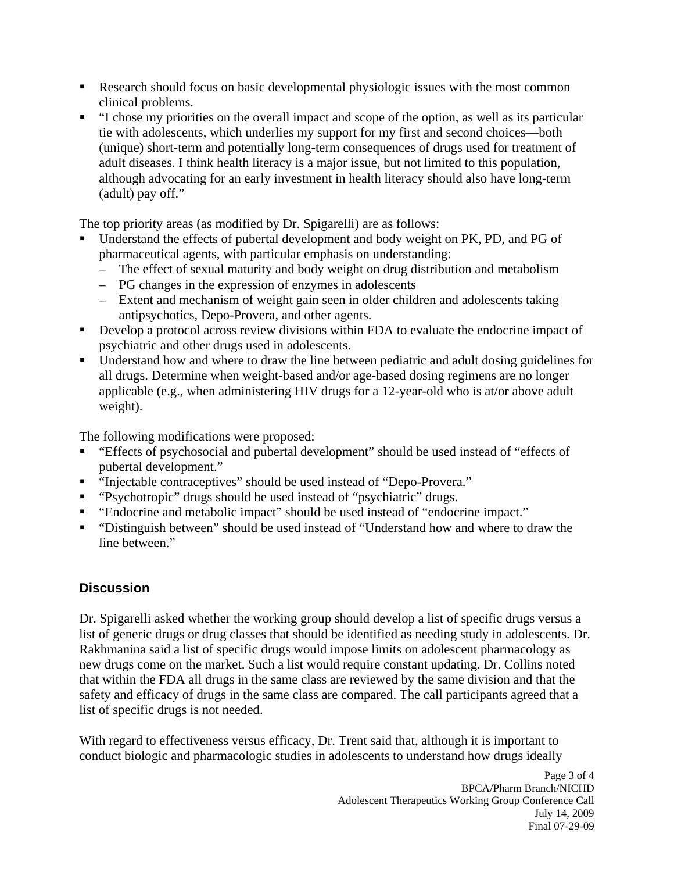- Research should focus on basic developmental physiologic issues with the most common clinical problems.
- "I chose my priorities on the overall impact and scope of the option, as well as its particular tie with adolescents, which underlies my support for my first and second choices—both (unique) short-term and potentially long-term consequences of drugs used for treatment of adult diseases. I think health literacy is a major issue, but not limited to this population, although advocating for an early investment in health literacy should also have long-term (adult) pay off."

The top priority areas (as modified by Dr. Spigarelli) are as follows:

- Understand the effects of pubertal development and body weight on PK, PD, and PG of pharmaceutical agents, with particular emphasis on understanding:
	- The effect of sexual maturity and body weight on drug distribution and metabolism
	- PG changes in the expression of enzymes in adolescents
	- Extent and mechanism of weight gain seen in older children and adolescents taking antipsychotics, Depo-Provera, and other agents.
- Develop a protocol across review divisions within FDA to evaluate the endocrine impact of psychiatric and other drugs used in adolescents.
- Understand how and where to draw the line between pediatric and adult dosing guidelines for all drugs. Determine when weight-based and/or age-based dosing regimens are no longer applicable (e.g., when administering HIV drugs for a 12-year-old who is at/or above adult weight).

The following modifications were proposed:

- "Effects of psychosocial and pubertal development" should be used instead of "effects of pubertal development."
- "Injectable contraceptives" should be used instead of "Depo-Provera."
- "Psychotropic" drugs should be used instead of "psychiatric" drugs.
- "Endocrine and metabolic impact" should be used instead of "endocrine impact."
- "Distinguish between" should be used instead of "Understand how and where to draw the line between."

# **Discussion**

Dr. Spigarelli asked whether the working group should develop a list of specific drugs versus a list of generic drugs or drug classes that should be identified as needing study in adolescents. Dr. Rakhmanina said a list of specific drugs would impose limits on adolescent pharmacology as new drugs come on the market. Such a list would require constant updating. Dr. Collins noted that within the FDA all drugs in the same class are reviewed by the same division and that the safety and efficacy of drugs in the same class are compared. The call participants agreed that a list of specific drugs is not needed.

With regard to effectiveness versus efficacy, Dr. Trent said that, although it is important to conduct biologic and pharmacologic studies in adolescents to understand how drugs ideally